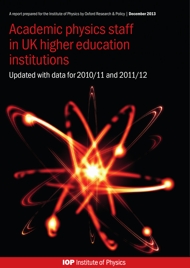# Academic physics staff in UK higher education institutions

## Updated with data for 2010/11 and 2011/12



**IOP** Institute of Physics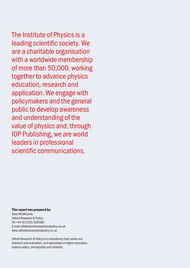The Institute of Physics is a leading scientific society. We are a charitable organisation with a worldwide membership of more than 50,000, working together to advance physics education, research and application. We engage with policymakers and the general public to develop awareness and understanding of the value of physics and, through IOP Publishing, we are world leaders in professional scientific communications.

#### This report was prepared by: Sean McWhinnie Oxford Research & Policy Tel +44 (01235) 439188 E-mail [info@oxfordresearchandpolicy.co.uk](mailto:info%40oxfordresearchandpolicy.co.uk?subject=) [www.oxfordresearchandpolicy.co.uk](http://www.oxfordresearchandpolicy.co.uk)

Oxford Research & Policy is a consultancy that carries out research and evaluation, and specialises in higher education, science policy, and equality and diversity.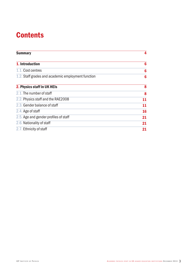## **Contents**

| <b>Summary</b>                                     | 4  |
|----------------------------------------------------|----|
| 1. Introduction                                    | 6  |
| 1.1. Cost centres                                  | 6  |
| 1.2. Staff grades and academic employment function | 6  |
| 2. Physics staff in UK HEIs                        | 8  |
| 2.1. The number of staff                           | 8  |
| 2.2. Physics staff and the RAE2008                 | 11 |
| 2.3. Gender balance of staff                       | 11 |
| 2.4. Age of staff                                  | 16 |
| 2.5. Age and gender profiles of staff              | 21 |
| 2.6. Nationality of staff                          | 21 |
| 2.7. Ethnicity of staff                            | 21 |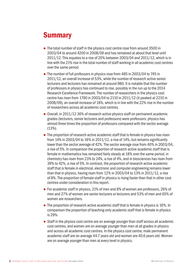### <span id="page-3-0"></span>**Summary**

- $\bullet$  The total number of staff in the physics cost centre rose from around 3500 in 2003/04 to around 4200 in 2008/09 and has remained at about that level until 2011/12. This equates to a rise of 20% between 2003/04 and 2011/12, which is in line with the 21% rise in the total number of staff working in all academic cost centres over the same period.
- The number of full professors in physics rose from 485 in 2003/04 to 745 in 2011/12, an overall increase of 53%, while the number of research active senior lecturers and lecturers has remained at around 980. It is notable that the number of professors in physics has continued to rise, possibly in the run up to the 2014 Research Excellence Framework. The number of researchers in the physics cost centre has risen from 1790 in 2003/04 to 2110 in 2011/12 (it peaked at 2210 in 2008/09), an overall increase of 18%, which is in line with the 22% rise in the number of researchers across all academic cost centres.
- $\bullet$  Overall, in 2011/12 36% of research active physics staff on permanent academic grades (lecturers, senior lecturers and professors) were professors: physics has almost three times the proportion of professors compared with the sector average (13%).
- $\bullet$  The proportion of research active academic staff that is female in physics has risen from 14% in 2003/04 to 16% in 2011/12, a rise of 14%, but remains significantly lower than the sector average of 42%. The sector average rose from 40% in 2003/04, a rise of 5%. In comparison the proportion of research active academic staff that is female in mathematics has remained fairly steady at 18% over the same period, in chemistry has risen from 23% to 24%, a rise of 4%, and in biosciences has risen from 39% to 42%, a rise of 5%. In contrast, the proportion of research active academic staff that is female in electrical, electronic and computer engineering remains lower than that in physics, having risen from 12% in 2003/04 to 13% in 2011/12, a rise of 8%. The proportion of female staff in physics is rising faster than that in other cost centres under consideration in this report.
- For academic staff in physics, 21% of men and 8% of women are professors, 26% of men and 27% of women are senior lecturers or lecturers and 53% of men and 65% of women are researchers.
- $\bullet$  The proportion of research active academic staff that is female in physics is 16%. In comparison the proportion of teaching-only academic staff that is female in physics is 29%.
- Staff in the physics cost centre are on average younger than staff across all academic cost centres, and women are on average younger than men at all grades in physics and across all academic cost centres. In the physics cost centre, male permanent academic staff are on average 44.7 years old and women are 40.6 years old. Women are on average younger than men at every level in physics.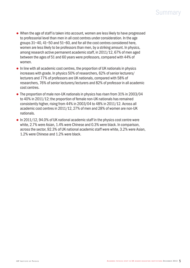### Summary

- $\bullet$  When the age of staff is taken into account, women are less likely to have progressed to professorial level than men in all cost centres under consideration. In the age groups 31–40, 41–50 and 51–60, and for all the cost centres considered here, women are less likely to be professors than men, by a striking amount. In physics, among research active permanent academic staff, in 2011/12, 67% of men aged between the ages of 51 and 60 years were professors, compared with 44% of women.
- $\bullet$  In line with all academic cost centres, the proportion of UK nationals in physics increases with grade. In physics 50% of researchers, 62% of senior lecturers/ lecturers and 77% of professors are UK nationals, compared with 58% of researchers, 76% of senior lecturers/lecturers and 82% of professor in all academic cost centres.
- The proportion of male non-UK nationals in physics has risen from 31% in 2003/04 to 40% in 2011/12; the proportion of female non-UK nationals has remained consistently higher, rising from 44% in 2003/04 to 48% in 2011/12. Across all academic cost centres in 2011/12, 27% of men and 28% of women are non-UK nationals.
- $\bullet$  In 2011/12, 94.0% of UK national academic staff in the physics cost centre were white, 2.7% were Asian, 1.4% were Chinese and 0.3% were black. In comparison, across the sector, 92.3% of UK national academic staff were white, 3.2% were Asian, 1.2% were Chinese and 1.2% were black.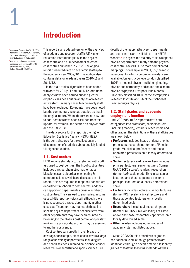

<sup>1</sup> *Academic Physics Staff in UK Higher Education Institutions*, IOP, London, 2012 [\(www.iop.org/publications/](http://www.iop.org/publications/iop/2012/page_53618.html) [iop/2012/page\\_53618.html](http://www.iop.org/publications/iop/2012/page_53618.html)).

<span id="page-5-0"></span>1

<sup>2</sup> Assignment of departments to academic cost centres 2001/02 [\(www.hefce.ac.uk/pubs/](http://www.hefce.ac.uk/pubs/hefce/2002/02_25.htm) [hefce/2002/02\\_25.htm\)](http://www.hefce.ac.uk/pubs/hefce/2002/02_25.htm).

This report is an updated version of the overview of academic and research staff in UK Higher Education Institutions (HEIs) in the physics cost centre and a number of other selected cost centres published in 2012.<sup>1</sup> The original report presented data on academic staff up to the academic year 2009/10. This edition also contains data for academic years 2010/11 and 2011/12.

In the main tables, figures have been added with data for 2010/11 and 2011/12. Additional analyses have been carried out and greater emphasis has been put on analyses of research active staff – in many cases teaching-only staff have been excluded. Key points have been noted but the commentary is not as detailed as that in the original report. Where there were no new data to add, sections have been excluded from this update, for example, the section on physics staff and the RAE2008.

The data source for the report is the Higher Education Statistics Agency (HESA). HESA is the central source for the collection and dissemination of statistics about publicly funded UK higher education.

#### 1.1. Cost centres

HESA require staff data to be returned with staff assigned to cost centres. The list of cost centres includes physics, chemistry, mathematics, biosciences and electrical engineering & computer science, which are discussed in this report. HEIs are required to map their constituent departments/schools to cost centres, and they can apportion departments across a number of cost centres. This can lead to anomalies: in some cases, HEIs report physics staff although there is no recognised physics department. In other cases staff numbers may not match those in a specific physics department because staff from other departments may have been counted as belonging to the physics cost centre, and/or staff working in a physics department may be assigned to another cost centre.

Cost centres vary greatly in their breadth of coverage, for example, biosciences covers a large range of university departments, including life and health sciences, biomedical science, cancer research, biochemistry and sports science. Full

details of the mapping between departments and cost centres are available on the HEFCE website.<sup>2</sup> In physics the majority of HEIs map their physics departments directly onto the physics cost centre; a few HEIs use more complicated mappings. For example, in 2001/02, the most recent year for which comprehensive data are available, University College London classified 100% of medical physics and bioengineering, physics and astronomy, and space and climate physics as physics. Liverpool John Moores University classified 100% of the Astrophysics Research Institute and 8% of their School of Engineering as physics.

#### 1.2. Staff grades and academic employment function

Until 2007/08, HESA reported staff data categorised into professors, senior lecturers (including readers), lecturers, researchers and other grades. The definitions of these staff grades are shown below:

- **Professors** includes heads of departments, professors, researchers (former UAP scale grade IV), clinical professors and those appointed professors on a locally determined scale.
- Senior lecturers and researchers includes principal lecturers, senior lecturers (former UAP/CSCFC scales), readers, researchers (former UAP scale grade III), clinical senior lecturers and those appointed senior or principal lecturers on a locally determined scale.
- Lecturers includes lecturers, senior lecturers (former PCEF scale), clinical lecturers and those appointed lecturers on a locally determined scale.
- Researchers includes all research grades (former PCEF/CSCFC/UAP scale) not listed above and those researchers appointed on a locally determined scale.
- Other grades includes other grades of academic staff not listed above.

Since 2008/09 this breakdown of grades has not been used, although professors are identifiable through a specific marker. To identify grades of staff the following methodology has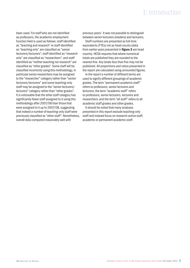### 1: Introduction

been used. For staff who are not identified as professors, the academic employment function field is used as follows: staff identified as "teaching and research" or staff identified as "teaching only" are classified as "senior lecturers/lecturers"; staff identified as "research only" are classified as "researchers"; and staff identified as "neither teaching nor research" are classified as "other grades". Some staff will be classified incorrectly using this methodology, in particular senior researchers may be assigned to the "researcher" category rather than "senior lecturers/lecturers" and some teaching-only staff may be assigned to the "senior lecturers/ lecturers" category rather than "other grades". It is noticeable that the other staff category has significantly fewer staff assigned to it using this methodology after 2007/08 than those that were assigned to it up to 2007/08, suggesting that indeed a number of teaching-only staff were previously classified as "other staff". Nonetheless, overall data compared reasonably well with

previous years'. It was not possible to distinguish between senior lecturers (readers) and lecturers.

Staff numbers are presented as full-time equivalents (FTEs) not as head counts (data from earlier years presented in figure 3 are head counts). HESA requires that where numerical totals are published they are rounded to the nearest five. Any totals less than five may not be published. All proportions and ratios presented in the report are calculated using unrounded figures.

In the report a number of different terms are used to signify different groupings of academic grades. The term "permanent academic staff" refers to professors, senior lecturers and lecturers; the term "academic staff" refers to professors, senior lecturers, lecturers and researchers; and the term "all staff" refers to all academic staff grades and other grades.

It should be noted that many analyses presented in this report exclude teaching-only staff and instead focus on research-active staff, academic or permanent academic staff.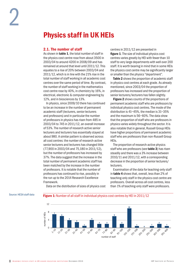#### <span id="page-7-0"></span>2.1. The number of staff

As shown in **table 1**, the total number of staff in the physics cost centre rose from about 3500 in 2003/04 to around 4200 in 2008/09 and has remained at around that level until 2011/12. This equates to a rise of 20% between 2003/04 and 2011/12, which is in line with the 21% rise in the total number of staff working in all academic cost centres over the same period of time. By contrast, the number of staff working in the mathematics cost centre rose by 40%, in chemistry by 16%, in electrical, electronic & computer engineering by 12%, and in biosciences by 13%.

In physics, since 2009/10 there has continued to be an increase in the number of permanent academic staff (lecturers, senior lecturers and professors) and in particular the number of professors in physics has risen from 485 in 2003/04 to 745 in 2011/12, an overall increase of 53%. The number of research active senior lecturers and lecturers has essentially stayed at about 980. A similar pattern is observed across all cost centres: the number of research-active senior lecturers and lecturers has changed little (77,900 in 2003/04 and 75,180 in 2011/12), but the number of professors has increased by 37%. The data suggest that the increase in the total number of permanent academic staff has been matched by the increase in the number of professors. It is notable that the number of professors has continued to rise, possibly in the run up to the 2014 Research Excellence Framework.

centres in 2011/12 are presented in figure 1. The size of individual physics cost centres varies greatly by HEI with fewer than 10 staff to very large departments with well over 200 staff. It is worth bearing in mind that in some HEIs the physics cost centre may be significantly larger or smaller than the physics "department".

Table 2 shows the proportion of academic staff in physics cost centres at each grade. As already mentioned, since 2003/04 the proportion of professors has increased and the proportion of senior lecturers/lecturers has fallen slightly.

Figure 2 shows counts of the proportions of permanent academic staff who are professors by individual physics cost centres. The mode of the distribution is 41–45%, the median is 31–35% and the maximum is 56–60%. The data show that the proportion of staff who are professors in physics varies widely throughout the sector. It is also notable that in general, Russell Group HEIs have higher proportions of permanent academic staff who are professors than non-Russell Group HEIs.

The proportion of research-active physics staff who are professors (see **table 3**) has risen steadily and there was a 3% increase between 2010/11 and 2011/12, with a corresponding decrease in the proportion of senior lecturers/ lecturers.

Examination of the data for teaching-only staff in table 4 shows that, overall, less than 2% of teaching-only staff in the physics cost centre are professors. Overall across all cost centres, less than 1% of teaching-only staff were professors.

Data on the distribution of sizes of physics cost

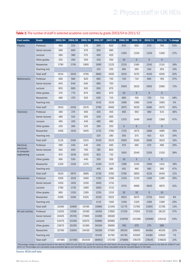| <b>Cost centre</b>                                                                                                                                                                                                                                   | Grade              | 2003/04 | 2004/05 | 2005/06 | 2006/07 | 2007/08 | 2008/09     | 2009/10         | 2010/11        | 2011/12        | % change <sup>*</sup> |
|------------------------------------------------------------------------------------------------------------------------------------------------------------------------------------------------------------------------------------------------------|--------------------|---------|---------|---------|---------|---------|-------------|-----------------|----------------|----------------|-----------------------|
| Physics                                                                                                                                                                                                                                              | Professor          | 485     | 515     | 570     | 590     | 620     | 635         | 650             | 670            | 745            | 53%                   |
|                                                                                                                                                                                                                                                      | Senior lecturer    | 590     | 600     | 570     | 555     | 585     |             |                 |                |                |                       |
| <b>THE TERM</b> IS THE HALLEND OF SCALE III SUITS AND ASSAULTED OVER DUILLOOD BY SHARP ZOODY OF THE ZO LITTLE<br><b>Mathematics</b><br>Chemistry<br>Electrical,<br>electronic<br>& computer<br>engineering<br><b>Biosciences</b><br>All cost centres | Lecturer           | 390     | 380     | 375     | 400     | 420     | 1355        | 1335            | 1320           | 1350           | 37%                   |
|                                                                                                                                                                                                                                                      | Other grades       | 255     | 265     | 350     | 330     | 350     | 10          | $\overline{0}$  | $\theta$       | $\mathbf 0$    |                       |
|                                                                                                                                                                                                                                                      | Researcher         | 1790    | 1745    | 1900    | 1995    | 2125    | 2210        | 2180            | 2145           | 2110           | 18%                   |
|                                                                                                                                                                                                                                                      | Teaching only      |         |         |         | 310     | 335     | 385         | 365             | 345            | 355            | 15%                   |
|                                                                                                                                                                                                                                                      | <b>Total staff</b> | 3510    | 3505    | 3765    | 3865    | 4100    | 4210        | 4170            | 4140           | 4205           | 20%                   |
|                                                                                                                                                                                                                                                      | Professor          | 560     | 585     | 620     | 685     | 755     | 720         | 710             | 695            | 765            | 37%                   |
|                                                                                                                                                                                                                                                      | Senior lecturer    | 645     | 640     | 640     | 695     | 750     |             |                 |                |                |                       |
|                                                                                                                                                                                                                                                      | Lecturer           | 855     | 885     | 910     | 930     | 975     | 2560        | 2615            | 2655           | 2585           | 73%                   |
|                                                                                                                                                                                                                                                      | Other grades       | 370     | 775     | 875     | 850     | 870     | 10          | $5\phantom{.}$  | 5              | $5\phantom{.}$ |                       |
|                                                                                                                                                                                                                                                      | Researcher         | 480     | 470     | 525     | 630     | 715     | 685         | 705             | 725            | 715            | 48%                   |
|                                                                                                                                                                                                                                                      | Teaching only      |         |         |         | 1015    | 1030    | 1085        | 1080            | 1145           | 1065           | 5%                    |
|                                                                                                                                                                                                                                                      | <b>Total staff</b> | 2910    | 3355    | 3570    | 3790    | 4065    | 3975        | 4035            | 4080           | 4070           | 40%                   |
|                                                                                                                                                                                                                                                      | Professor          | 380     | 375     | 400     | 420     | 455     | 460         | 450             | 460            | 515            | 36%                   |
|                                                                                                                                                                                                                                                      | Senior lecturer    | 485     | 510     | 505     | 530     | 565     |             |                 |                |                |                       |
|                                                                                                                                                                                                                                                      | Lecturer           | 465     | 425     | 440     | 485     | 490     | 1375        | 1440            | 1440           | 1395           | 47%                   |
|                                                                                                                                                                                                                                                      | Other grades       | 330     | 365     | 325     | 290     | 250     | $\mathbf 0$ | $\mathbf 0$     | $\theta$       | $\mathbf 0$    |                       |
|                                                                                                                                                                                                                                                      | Researcher         | 1465    | 1510    | 1645    | 1715    | 1760    | 1725        | 1675            | 1680           | 1695           | 16%                   |
|                                                                                                                                                                                                                                                      | Teaching only      |         |         |         | 320     | 280     | 355         | 375             | 410            | 425            | 34%                   |
|                                                                                                                                                                                                                                                      | Total staff        | 3125    | 3185    | 3315    | 3435    | 3525    | 3565        | 3565            | 3585           | 3610           | 16%                   |
|                                                                                                                                                                                                                                                      | Professor          | 390     | 440     | 440     | 445     | 465     | 475         | 465             | 470            | 485            | 25%                   |
|                                                                                                                                                                                                                                                      | Senior lecturer    | 565     | 645     | 700     | 785     | 855     |             |                 |                |                |                       |
|                                                                                                                                                                                                                                                      | Lecturer           | 970     | 1030    | 1025    | 810     | 710     | 1910        | 2040            | 2205           | 2135           | 39%                   |
|                                                                                                                                                                                                                                                      | Other grades       | 490     | 530     | 440     | 355     | 355     | 10          | $5\overline{)}$ | $\mathbf{0}$   | $\mathbf 0$    |                       |
|                                                                                                                                                                                                                                                      | Researcher         | 1205    | 1320    | 1275    | 1340    | 1370    | 1395        | 1345            | 1450           | 1415           | 18%                   |
|                                                                                                                                                                                                                                                      | Teaching only      |         |         |         | 405     | 385     | 410         | 495             | 585            | 595            | 47%                   |
|                                                                                                                                                                                                                                                      | Total staff        | 3620    | 3970    | 3885    | 3730    | 3760    | 3790        | 3855            | 4125           | 4040           | 12%                   |
|                                                                                                                                                                                                                                                      | Professor          | 1005    | 1020    | 1060    | 1100    | 1190    | 1220        | 1220            | 1190           | 1295           | 29%                   |
|                                                                                                                                                                                                                                                      | Senior lecturer    | 1455    | 1425    | 1530    | 1645    | 1710    | 4715        | 4695            | 4940           | 4875           | 51%                   |
|                                                                                                                                                                                                                                                      | Lecturer           | 1780    | 1735    | 1590    | 1650    | 1715    |             |                 |                |                |                       |
|                                                                                                                                                                                                                                                      | Other grades       | 865     | 1320    | 1285    | 1255    | 1210    | 20          | 10              | $\overline{5}$ | 10             |                       |
|                                                                                                                                                                                                                                                      | Researcher         | 5295    | 5190    | 5325    | 5330    | 5515    | 5815        | 5875            | 5720           | 5620           | 6%                    |
|                                                                                                                                                                                                                                                      | Teaching only      |         |         |         | 1115    | 1160    | 1340        | 1320            | 1395           | 1390           | 25%                   |
|                                                                                                                                                                                                                                                      | Total staff        | 10395   | 10695   | 10785   | 10980   | 11340   | 11775       | 11790           | 11855          | 11795          | 13%                   |
|                                                                                                                                                                                                                                                      | Professor          | 13255   | 14195   | 15190   | 16165   | 17895   | 17220       | 17055           | 17120          | 18125          | 37%                   |
|                                                                                                                                                                                                                                                      | Senior lecturer    | 24425   | 25700   | 27865   | 33280   | 36560   | 118760      | 121260          | 120690         | 120110         | 54%                   |
|                                                                                                                                                                                                                                                      | Lecturer           | 53475   | 54390   | 52675   | 50980   | 50985   |             |                 |                |                |                       |
|                                                                                                                                                                                                                                                      | Other grades       | 23675   | 30295   | 31385   | 30200   | 28695   | 700         | 375             | 275            | 285            |                       |
|                                                                                                                                                                                                                                                      | Researcher         | 32760   | 33005   | 34430   | 36280   | 37565   | 39200       | 39685           | 40060          | 40105          | 22%                   |
|                                                                                                                                                                                                                                                      | Teaching only      |         |         |         | 42105   | 41795   | 44730       | 45300           | 44180          | 44930          | 7%                    |
|                                                                                                                                                                                                                                                      | Total staff        | 147585  | 157585  | 161540  | 166910  | 171700  | 175880      | 178375          | 178145         | 178630         | 21%                   |

#### Table 1: The number of staff in selected academic cost centres by grade 2003/04 to 2011/12

*\*Percentage change is calculated based on the data for 2003/04 and 2011/12, except for teaching-only staff where the percentage change is calculated based on the data for 2006/07 and 2011/12. Percentages are calculated using unrounded figures and therefore may not be the same as those calculated using the rounded figures in the table.*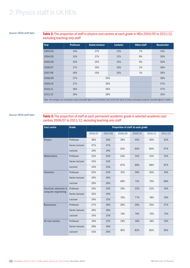#### Source: HESA staff data

#### Table 2: The proportion of staff in physics cost centres at each grade in HEIs 2004/05 to 2011/12, excluding teaching-only staff

| Year    | <b>Professor</b> | <b>Senior lecturer</b> | <b>Lecturer</b> | <b>Other staff</b> | <b>Researcher</b> |
|---------|------------------|------------------------|-----------------|--------------------|-------------------|
| 2003/04 | 14%              | 17%                    | 11%             | 7%                 | 51%               |
| 2004/05 | 15%              | 17%                    | 11%             | 8%                 | 50%               |
| 2005/06 | 15%              | 15%                    | 10%             | 9%                 | 50%               |
| 2006/07 | 17%              | 15%                    | 10%             | 2%                 | 56%               |
| 2007/08 | 16%              | 15%                    | 10%             | 1%                 | 56%               |
| 2008/09 | 17%              |                        | 25%             |                    | 58%               |
| 2009/10 | 17%              |                        | 26%             |                    | 57%               |
| 2010/11 | 18%              |                        | 26%             |                    | 57%               |
| 2011/12 | 19%              |                        | 26%             |                    | 55%               |

*Note: Percentages are calculated using unrounded figures and therefore may not be the same as those calculated using the rounded figures in table 1.*

#### Source: HESA staff data

Table 3: The proportion of staff at each permanent academic grade in selected academic cost centres 2006/07 to 2011/12, excluding teaching-only staff

| <b>Cost centre</b>       | Grade           | Proportion of staff at each grade |         |         |         |         |         |  |  |
|--------------------------|-----------------|-----------------------------------|---------|---------|---------|---------|---------|--|--|
|                          |                 | 2006/07                           | 2007/08 | 2008/09 | 2009/10 | 2010/11 | 2011/12 |  |  |
| <b>Physics</b>           | Professor       | 39%                               | 39%     | 39%     | 40%     | 40%     | 43%     |  |  |
|                          | Senior lecturer | 37%                               | 37%     |         |         |         |         |  |  |
|                          | Lecturer        | 24%                               | 24%     | 61%     | 60%     | 60%     | 57%     |  |  |
| <b>Mathematics</b>       | Professor       | 33%                               | 33%     | 33%     | 31%     | 31%     | 31%     |  |  |
|                          | Senior lecturer | 33%                               | 33%     |         |         |         |         |  |  |
|                          | Lecturer        | 34%                               | 34%     | 67%     | 69%     | 69%     | 67%     |  |  |
| Chemistry                | Professor       | 32%                               | 33%     | 31%     | 29%     | 30%     | 34%     |  |  |
|                          | Senior lecturer | 40%                               | 40%     |         |         |         |         |  |  |
|                          | Lecturer        | 29%                               | 28%     | 69%     | 71%     | 70%     | 66%     |  |  |
| Electrical, electronic & | Professor       | 24%                               | 25%     | 24%     | 23%     | 22%     | 24%     |  |  |
| computer engineering     | Senior lecturer | 42%                               | 45%     |         |         |         |         |  |  |
|                          | Lecturer        | 34%                               | 31%     | 76%     | 77%     | 78%     | 76%     |  |  |
| <b>Biosciences</b>       | Professor       | 27%                               | 28%     | 26%     | 26%     | 25%     | 27%     |  |  |
|                          | Senior lecturer | 39%                               | 39%     |         |         |         |         |  |  |
|                          | Lecturer        | 34%                               | 33%     | 74%     | 74%     | 75%     | 73%     |  |  |
| All cost centres         | Professor       | 19%                               | 21%     | 19%     | 18%     | 18%     | 19%     |  |  |
|                          | Senior lecturer | 38%                               | 39%     |         |         |         |         |  |  |
|                          | Lecturer        | 43%                               | 39%     | 81%     | 82%     | 82%     | 81%     |  |  |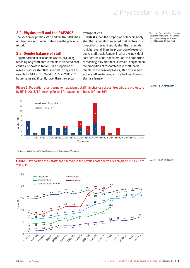#### <span id="page-10-0"></span>2.2. Physics staff and the RAE2008

The section on physics staff and the RAE2008 has not been revised. For full details see the previous report.<sup>3</sup>

#### 2.3. Gender balance of staff

The proportion of all academic staff, excluding teaching-only staff, that is female in selected cost centres is shown in table 5. The proportion of research-active staff that is female in physics has risen from 14% in 2003/04 to 16% in 2011/12, but remains significantly lower than the sector

#### average of 42%.

Table 6 shows the proportion of teaching-only staff that is female in selected cost centres. The proportion of teaching-only staff that is female is higher overall than the proportion of researchactive staff that is female. In all of the individual cost centres under consideration, the proportion of teaching-only staff that is female is higher than the proportion of research-active staff that is female. In the case of physics, 16% of research active staff are female, and 29% of teaching-only staff are female.

<sup>3</sup> *Academic Physics Staff in UK Higher Education Institutions*, IOP, London, 2012 (www.iop.org/publications/ iop/2012/page\_53618.html).

#### Source: HESA staff data





*\* Permanent academic staff are professors, senior lecturers and lecturers.*

#### Figure 3: Proportion of all staff that is female in the physics cost centre at each grade 1996/97 to 2011/12

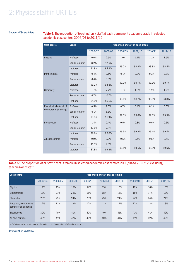#### Source: HESA staff data

Table 4: The proportion of teaching-only staff at each permanent academic grade in selected academic cost centres 2006/07 to 2011/12

| <b>Cost centre</b>       | Grade           | Proportion of staff at each grade |         |         |         |         |         |  |  |  |
|--------------------------|-----------------|-----------------------------------|---------|---------|---------|---------|---------|--|--|--|
|                          |                 | 2006/07                           | 2007/08 | 2008/09 | 2009/10 | 2010/11 | 2011/12 |  |  |  |
| <b>Physics</b>           | Professor       | 0.0%                              | 2.5%    | 1.0%    | 1.1%    | 1.2%    | 1.5%    |  |  |  |
|                          | Senior lecturer | 8.2%                              | 12.6%   |         |         |         |         |  |  |  |
|                          | Lecturer        | 91.8%                             | 84.9%   | 99.0%   | 98.9%   | 98.8%   | 98.5%   |  |  |  |
| <b>Mathematics</b>       | Professor       | 0.4%                              | 0.5%    | 0.1%    | 0.3%    | 0.3%    | 0.3%    |  |  |  |
|                          | Senior lecturer | 6.4%                              | 5.0%    |         |         |         |         |  |  |  |
|                          | Lecturer        | 93.2%                             | 94.6%   | 99.9%   | 99.7%   | 99.7%   | 99.7%   |  |  |  |
| Chemistry                | Professor       | 1.7%                              | 2.7%    | 1.1%    | 1.3%    | 1.2%    | 1.2%    |  |  |  |
|                          | Senior lecturer | 6.7%                              | 10.7%   |         |         |         |         |  |  |  |
|                          | Lecturer        | 91.6%                             | 86.6%   | 98.9%   | 98.7%   | 98.8%   | 98.8%   |  |  |  |
| Electrical, electronic & | Professor       | 0.5%                              | 2.0%    | 0.7%    | 0.4%    | 0.2%    | 0.5%    |  |  |  |
| computer engineering     | Senior lecturer | 6.1%                              | 6.1%    |         |         |         |         |  |  |  |
|                          | Lecturer        | 93.3%                             | 91.9%   | 99.3%   | 99.6%   | 99.8%   | 99.5%   |  |  |  |
| <b>Biosciences</b>       | Professor       | 1.4%                              | 0.4%    | 0.5%    | 0.8%    | 0.6%    | 0.6%    |  |  |  |
|                          | Senior lecturer | 12.6%                             | 7.6%    |         |         |         |         |  |  |  |
|                          | Lecturer        | 86.0%                             | 92.0%   | 99.5%   | 99.2%   | 99.4%   | 99.4%   |  |  |  |
| All cost centres         | Professor       | 0.9%                              | 0.9%    | 0.5%    | 0.5%    | 0.5%    | 0.4%    |  |  |  |
|                          | Senior lecturer | 11.3%                             | 9.3%    |         |         |         |         |  |  |  |
|                          | Lecturer        | 87.8%                             | 89.8%   | 99.5%   | 99.5%   | 99.5%   | 99.6%   |  |  |  |

#### Table 5: The proportion of all staff\* that is female in selected academic cost centres 2003/04 to 2011/12, excluding teaching-only staff

| <b>Cost centre</b>                                                                         | <b>Proportion of staff that is female</b> |         |         |         |         |         |         |         |         |  |  |
|--------------------------------------------------------------------------------------------|-------------------------------------------|---------|---------|---------|---------|---------|---------|---------|---------|--|--|
|                                                                                            | 2003/04                                   | 2004/05 | 2005/06 | 2006/07 | 2007/08 | 2008/09 | 2009/10 | 2010/11 | 2011/12 |  |  |
| <b>Physics</b>                                                                             | 14%                                       | 15%     | 15%     | 14%     | 15%     | 15%     | 16%     | 16%     | 16%     |  |  |
| <b>Mathematics</b>                                                                         | 18%                                       | 21%     | 22%     | 16%     | 18%     | 18%     | 18%     | 17%     | 18%     |  |  |
| Chemistry                                                                                  | 23%                                       | 23%     | 24%     | 23%     | 23%     | 24%     | 24%     | 24%     | 24%     |  |  |
| Electrical, electronic &<br>computer engineering                                           | 12%                                       | 12%     | 13%     | 12%     | 11%     | 12%     | 12%     | 13%     | 13%     |  |  |
| <b>Biosciences</b>                                                                         | 39%                                       | 40%     | 41%     | 40%     | 40%     | 41%     | 41%     | 41%     | 42%     |  |  |
| All cost centres                                                                           | 40%                                       | 41%     | 42%     | 40%     | 40%     | 41%     | 41%     | 42%     | 42%     |  |  |
| *All staff comprises professors, senior lecturers, lecturers, other staff and researchers. |                                           |         |         |         |         |         |         |         |         |  |  |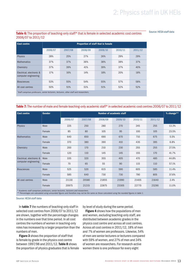#### Table 6: The proportion of teaching-only staff\* that is female in selected academic cost centres 2006/07 to 2011/12

Source: HESA staff data

| <b>Cost centre</b>                                                                    | <b>Proportion of staff that is female</b> |         |         |         |         |         |  |  |  |  |
|---------------------------------------------------------------------------------------|-------------------------------------------|---------|---------|---------|---------|---------|--|--|--|--|
|                                                                                       | 2006/07                                   | 2007/08 | 2008/09 | 2009/10 | 2010/11 | 2011/12 |  |  |  |  |
| <b>Physics</b>                                                                        | 28%                                       | 25%     | 27%     | 26%     | 29%     | 29%     |  |  |  |  |
| <b>Mathematics</b>                                                                    | 37%                                       | 37%     | 36%     | 38%     | 38%     | 37%     |  |  |  |  |
| Chemistry                                                                             | 37%                                       | 39%     | 41%     | 39%     | 37%     | 40%     |  |  |  |  |
| Electrical, electronic &<br>computer engineering                                      | 17%                                       | 16%     | 14%     | 18%     | 20%     | 18%     |  |  |  |  |
| <b>Biosciences</b>                                                                    | 53%                                       | 55%     | 54%     | 55%     | 57%     | 58%     |  |  |  |  |
| All cost centres                                                                      | 50%                                       | 51%     | 51%     | 51%     | 52%     | 52%     |  |  |  |  |
| Staff comprises professors, senior lecturers, lecturers, other staff and researchers. |                                           |         |         |         |         |         |  |  |  |  |

#### Table 7: The number of male and female teaching-only academic staff\* in selected academic cost centres 2006/07 to 2011/12

| <b>Cost centre</b>       | <b>Gender</b> | <b>Number of academic staff</b> |         |         |         |         |         |       |  |  |
|--------------------------|---------------|---------------------------------|---------|---------|---------|---------|---------|-------|--|--|
|                          |               | 2006/07                         | 2007/08 | 2008/09 | 2009/10 | 2010/11 | 2011/12 |       |  |  |
| Physics                  | Male          | 225                             | 250     | 280     | 270     | 245     | 255     | 13.3% |  |  |
|                          | Female        | 85                              | 80      | 105     | 95      | 100     | 105     | 23.5% |  |  |
| <b>Mathematics</b>       | Male          | 640                             | 650     | 690     | 670     | 710     | 675     | 5.5%  |  |  |
|                          | Female        | 370                             | 380     | 390     | 410     | 435     | 395     | 6.8%  |  |  |
| Chemistry                | Male          | 200                             | 170     | 210     | 230     | 255     | 255     | 27.5% |  |  |
|                          | Female        | 120                             | 110     | 145     | 145     | 155     | 170     | 41.7% |  |  |
| Electrical, electronic & | Male          | 335                             | 320     | 355     | 405     | 470     | 485     | 44.8% |  |  |
| computer engineering     | Female        | 70                              | 65      | 55      | 90      | 115     | 110     | 57.1% |  |  |
| <b>Biosciences</b>       | Male          | 525                             | 520     | 615     | 590     | 605     | 585     | 11.4% |  |  |
|                          | Female        | 585                             | 640     | 730     | 730     | 790     | 805     | 37.6% |  |  |
| All cost centres         | Male          | 21130                           | 20580   | 21855   | 21990   | 21405   | 21640   | 2.4%  |  |  |
|                          | Female        | 20975                           | 21215   | 22875   | 23305   | 22770   | 23290   | 11.0% |  |  |

*\* Academic staff comprises professors, senior lecturers, lecturers and researchers.* 

*\*\* Percentages are calculated using unrounded figures and therefore may not be the same as those calculated using the rounded figures in table 1.*

#### Source: HESA staff data

In table 7 the numbers of teaching-only staff in selected cost centres from 2006/07 to 2011/12 are shown, together with the percentage changes in the numbers over that time period. In all cost centres the numbers of women in teaching-only roles has increased by a larger proportion than the numbers of men.

**Figure 3** shows the proportion of staff that is female by grade in the physics cost centre between 1997/98 and 2011/12. Table 8 shows the proportion of physics graduates that is female by level of study during the same period.

**Figure 4** shows how the populations of men and women, excluding teaching-only staff, are distributed between academic grades in the physics cost centre and across all cost centres. Across all cost centres in 2011/12, 18% of men and 7% of women are professors. Likewise, 54% of men are senior lecturers or lecturers compared with 59% of women, and 27% of men and 34% of women are researchers. For research-active women there is one professor for every eight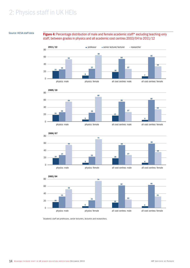#### Source: HESA staff data

Figure 4: Percentage distribution of male and female academic staff\* excluding teaching-only staff, between grades in physics and all academic cost centres 2003/04 to 2011/12



*\* Academic staff are professors, senior lecturers, lecturers and researchers.*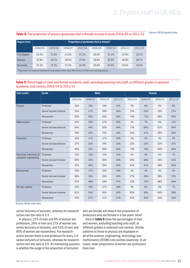### Table 8: The proportion of physics graduates that is female by level of study 2004/05 to 2011/12 Source: HESA student data

| <b>Degree level</b>                                                                                      |         |         |         |         |         |         |         |         |
|----------------------------------------------------------------------------------------------------------|---------|---------|---------|---------|---------|---------|---------|---------|
|                                                                                                          | 2004/05 | 2005/06 | 2006/07 | 2007/08 | 2008/09 | 2009/10 | 2010/11 | 2011/12 |
| First degree                                                                                             | 21.0%   | 21.6%   | 21.6%   | 21.2%   | 20.6%   | 21.4%   | 22.9%   | 22.1%   |
| <b>Masters</b>                                                                                           | 32.8%   | 33.1%   | 29.0%   | 27.5%   | 29.8%   | 23.9%   | 28.8%   | 29.7%   |
| Doctorate                                                                                                | 22.2%   | 21.3%   | 22.5%   | 24.6%   | 26.6%   | 23.5%   | 24.0%   | 24.6%   |
| "Proportions are based on headcounts of graduates iwho spent 50% or more of their time studying physics. |         |         |         |         |         |         |         |         |

Table 9: Percentage of male and female academic staff, excluding teaching-only staff, at different grades in selected academic cost centres 2003/04 to 2011/12

| <b>Cost centre</b>       | Grade                    |         |         | <b>Male</b> |         | <b>Female</b> |         |         |         |
|--------------------------|--------------------------|---------|---------|-------------|---------|---------------|---------|---------|---------|
|                          |                          | 2003/04 | 2006/07 | 2009/10     | 2011/12 | 2003/04       | 2006/07 | 2009/10 | 2011/12 |
| Physics                  | Professor                | 16%     | 19%     | 19%         | 21%     | 5%            | 6%      | 6%      | 8%      |
|                          | Senior lecturer/lecturer | 31%     | 27%     | 26%         | 26%     | 21%           | 23%     | 25%     | 27%     |
|                          | Researcher               | 52%     | 55%     | 55%         | 54%     | 74%           | 71%     | 69%     | 65%     |
| <b>Mathematics</b>       | Professor                | 25%     | 29%     | 27%         | 29%     | 4%            | 7%      | 8%      | 11%     |
|                          | Senior lecturer/lecturer | 56%     | 49%     | 50%         | 49%     | 73%           | 66%     | 62%     | 60%     |
|                          | Researcher               | 18%     | 22%     | 23%         | 24%     | 23%           | 27%     | 29%     | 30%     |
| Chemistry                | Professor                | 16%     | 17%     | 17%         | 19%     | 3%            | 4%      | 4%      | 5%      |
|                          | Senior lecturer/lecturer | 37%     | 32%     | 34%         | 31%     | 23%           | 22%     | 32%     | 31%     |
|                          | Researcher               | 46%     | 51%     | 49%         | 50%     | 74%           | 74%     | 64%     | 64%     |
| Electrical, electronic & | Professor                | 14%     | 15%     | 15%         | 15%     | 3%            | 5%      | 6%      | 7%      |
| computer engineering     | Senior lecturer/lecturer | 49%     | 45%     | 46%         | 45%     | 46%           | 38%     | 45%     | 43%     |
|                          | Researcher               | 37%     | 40%     | 39%         | 40%     | 51%           | 57%     | 49%     | 50%     |
| <b>Biosciences</b>       | Professor                | 15%     | 17%     | 16%         | 18%     | 3%            | 4%      | 4%      | 5%      |
|                          | Senior lecturer/lecturer | 38%     | 35%     | 35%         | 36%     | 27%           | 26%     | 28%     | 31%     |
|                          | Researcher               | 47%     | 48%     | 48%         | 47%     | 70%           | 70%     | 68%     | 64%     |
| All cost centres         | Professor                | 15%     | 18%     | 17%         | 18%     | 4%            | 6%      | 6%      | 7%      |
|                          | Senior lecturer/lecturer | 62%     | 54%     | 55%         | 54%     | 65%           | 59%     | 60%     | 59%     |
|                          | Researcher               | 23%     | 27%     | 27%         | 27%     | 31%           | 35%     | 34%     | 34%     |

Source: HESA staff data

senior lecturers or lecturers, whereas for researchactive men the ratio is 1:3.

In physics, 21% of men and 8% of women are professors, 26% of men and 27% of women are senior lecturers or lecturers, and 53% of men and 65% of women are researchers. For researchactive women there is one professor for every 3.4 senior lecturers or lecturers, whereas for researchactive men the ratio is 4:5. An interesting question is whether the surge in the proportion of lecturers

who are female will show in the proportion of professors who are female in a few years' time?

Data in table 9 show the percentages of men and women, excluding teaching-only staff, at different grades in selected cost centres. Similar patterns to those in physics are displayed in all of the science, engineering, technology and mathematics (STEM) cost centres examined. In all cases, lower proportions of women are professors than men.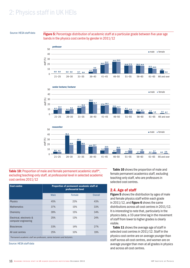<span id="page-15-0"></span>Source: HESA staff data **Figure 5:** Percentage distribution of academic staff at a particular grade between five-year age bands in the physics cost centre by gender in 2011/12



#### Table 10: Proportion of male and female permanent academic staff\*, excluding teaching-only staff, at professorial level in selected academic cost centres 2011/12

| <b>Cost centre</b>                                                        | <b>Proportion of permanent academic staff at</b><br>professorial level |        |                |  |  |  |  |
|---------------------------------------------------------------------------|------------------------------------------------------------------------|--------|----------------|--|--|--|--|
|                                                                           | Male                                                                   | Female | <b>Overall</b> |  |  |  |  |
| <b>Physics</b>                                                            | 45%                                                                    | 23%    | 43%            |  |  |  |  |
| <b>Mathematics</b>                                                        | 37%                                                                    | 15%    | 33%            |  |  |  |  |
| Chemistry                                                                 | 39%                                                                    | 15%    | 34%            |  |  |  |  |
| Electrical, electronic &<br>computer engineering                          | 25%                                                                    | 13%    | 24%            |  |  |  |  |
| <b>Biosciences</b>                                                        | 33%                                                                    | 14%    | 27%            |  |  |  |  |
| All cost centres                                                          | 25%                                                                    | 10%    | 19%            |  |  |  |  |
| *Permanent academic staff are professors, senior lecturers and lecturers. |                                                                        |        |                |  |  |  |  |

Source: HESA staff data

Table 10 shows the proportion of male and female permanent academics staff, excluding teaching-only staff, who are professors in selected cost centres.

### 2.4. Age of staff

Figure 5 shows the distribution by ages of male and female physics staff within each grade in  $2011/12$ , and figure 6 shows the same distributions across all cost centres in 2011/12. It is interesting to note that, particularly in the physics data, a 10-year time lag in the movement of staff from lower to higher grades is clearly visible.

Table 11 shows the average age of staff in selected cost centres in 2011/12. Staff in the physics cost centre are on average younger than staff across all cost centres, and women are on average younger than men at all grades in physics and across all cost centres.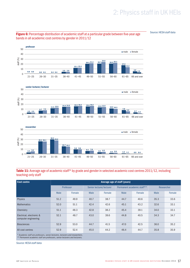Source: HESA staff data



#### Figure 6: Percentage distribution of academic staff at a particular grade between five-year age bands in all academic cost centres by gender in 2011/12

#### 21–25 26–30 researcher 31–35 36–40 41–45 46–50 51–55 56–60 61–65 66 and over  $\bullet$  male  $\bullet$  female 50  $\frac{\sqrt{8}}{56}$  30<br> $\frac{1}{20}$ 40  $\widehat{\mathcal{E}}$  30 10  $\Omega$ 15.2 15.7  $\begin{array}{|c|c|c|c|c|c|}\n\hline\n & \text{6.1} & \text{7.0} & \text{3.8} & \text{4.5} & \text{2.5} & \text{2.8} & \text{1.5} & \text{1.1} & \text{0.9} & \text{0.4} \\
\hline\n\end{array}$ 30.2 28.0 26.3 26.1 3.5 5.3

#### Table 11: Average age of academic staff\* by grade and gender in selected academic cost centres 2011/12, including teaching-only staff

| <b>Cost centre</b>                                                            | Average age of staff (years) |        |                          |        |                            |        |            |        |  |  |  |
|-------------------------------------------------------------------------------|------------------------------|--------|--------------------------|--------|----------------------------|--------|------------|--------|--|--|--|
|                                                                               | Professor                    |        | Senior lecturer/lecturer |        | Permanent academic staff** |        | Researcher |        |  |  |  |
|                                                                               | <b>Male</b>                  | Female | Male                     | Female | Male                       | Female | Male       | Female |  |  |  |
| <b>Physics</b>                                                                | 51.2                         | 49.9   | 40.7                     | 38.7   | 44.7                       | 40.6   | 35.3       | 33.6   |  |  |  |
| <b>Mathematics</b>                                                            | 52.0                         | 51.1   | 42.4                     | 42.6   | 45.1                       | 43.2   | 32.6       | 33.1   |  |  |  |
| Chemistry                                                                     | 51.1                         | 48.3   | 42.8                     | 38.2   | 45.4                       | 39.1   | 34.0       | 33.1   |  |  |  |
| Electrical, electronic &<br>computer engineering                              | 52.1                         | 48.7   | 43.0                     | 39.6   | 44.8                       | 40.5   | 34.3       | 34.7   |  |  |  |
| <b>Biosciences</b>                                                            | 52.9                         | 53.0   | 44.7                     | 41.5   | 47.0                       | 42.5   | 36.0       | 35.2   |  |  |  |
| All cost centres                                                              | 52.9                         | 52.4   | 45.0                     | 44.2   | 46.4                       | 44.7   | 35.8       | 35.9   |  |  |  |
| * Academic staff are professors, senior lecturers, lecturers and researchers. |                              |        |                          |        |                            |        |            |        |  |  |  |

*\*\* Permanent academic staff are professors, senior lecturers and lecturers.*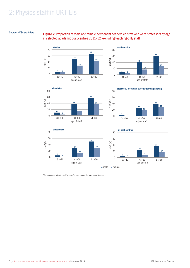#### Source: HESA staff data

#### Figure 7: Proportion of male and female permanent academic\* staff who were professors by age in selected academic cost centres 2011/12, excluding teaching-only staff







electrical, electronic & computer engineering







*\* Permanent academic staff are professors, senior lecturers and lecturers.*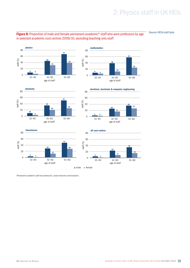

Source: HESA staff data



*\* Permanent academic staff are professors, senior lecturers and lecturers.*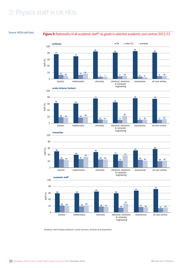#### Source: HESA staff data

#### Figure 9: Nationality of all academic staff\* by grade in selected academic cost centres 2011/12



*\* Academic staff includes professors, senior lecturers, lecturers and researchers.*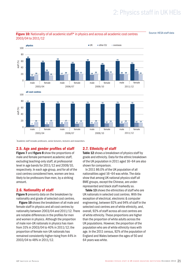Source: HESA staff data



#### <span id="page-20-0"></span>Figure 10: Nationality of all academic staff\* in physics and across all academic cost centres 2003/04 to 2011/12

*\* Academic staff includes professors, senior lecturers, lecturers and researchers.*

#### 2.5. Age and gender profiles of staff

Figure 7 and figure 8 show the proportions of male and female permanent academic staff, excluding teaching-only staff, at professorial level in age bands for 2011/12 and 2009/10, respectively. In each age group, and for all of the cost centres considered here, women are less likely to be professors than men, by a striking amount.

#### 2.6. Nationality of staff

**Figure 9** presents data on the breakdown by nationality and grade of selected cost centres.

Figure 10 shows the breakdown of all male and female staff in physics and all cost centres by nationality between 2003/04 and 2011/12. There are notable differences in the profiles for men and women in physics. Although the proportion of male non-UK nationals in physics has risen from 31% in 2003/04 to 40% in 2011/12; the proportion of female non-UK nationals has remained consistently higher rising from 44% in 2003/04 to 48% in 2011/12.

#### 2.7. Ethnicity of staff

Table 12 shows a breakdown of physics staff by grade and ethnicity. Data for the ethnic breakdown of the UK population in 2011 aged 16–64 are also shown for comparison.

In 2011 86.0% of the UK population of all nationalities aged 16–64 was white. The data show that among UK national physics staff all BME groups, except the Chinese, are underrepresented and black staff markedly so.

Table 13 shows the ethnicities of staff who are UK nationals in selected cost centres. With the exception of electrical, electronic & computer engineering, between 92% and 94% of staff in the selected cost centres are of white ethnicity, and, overall, 92% of staff across all cost centres are of white ethnicity. These proportions are higher than the proportion of white adults across the UK populations. However, the proportion of the population who are of white ethnicity rises with age. In the 2011 census, 92% of the population of England and Wales between the ages of 50 and 64 years was white.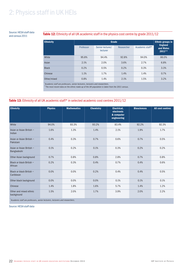### and census 2011

### Source: HESA staff data<br>and concus 2011 (12) Table 12: Ethnicity of all UK academic staff in the physics cost centre by grade 2011/12

| <b>Ethnicity</b> |           | <b>Ethnic groups in</b><br><b>England</b> |            |                 |                       |  |  |  |  |  |
|------------------|-----------|-------------------------------------------|------------|-----------------|-----------------------|--|--|--|--|--|
|                  | Professor | Senior lecturer/<br>lecturer              | Researcher | Academic staff* | and Wales<br>$2011**$ |  |  |  |  |  |
| White            | 95.8%     | 94.4%                                     | 92.8%      | 94.0%           | 86.0%                 |  |  |  |  |  |
| Asian            | 2.1%      | 2.0%                                      | 3.6%       | 2.7%            | 6.8%                  |  |  |  |  |  |
| <b>Black</b>     | 0.2%      | 0.5%                                      | 0.2%       | 0.3%            | 3.3%                  |  |  |  |  |  |
| Chinese          | 1.1%      | 1.7%                                      | 1.4%       | 1.4%            | 0.7%                  |  |  |  |  |  |
| Other/mixed      | 0.8%      | 1.4%                                      | 2.1%       | 1.5%            | 3.2%                  |  |  |  |  |  |

*\* Academic staff are professors, senior lecturers, lecturers and researchers. \*\*The most recent data on the ethnic make-up of the UK population is taken from the 2011 census.*

#### Table 13: Ethnicity of all UK academic staff\* in selected academic cost centres 2011/12

| <b>Ethnicity</b>                                                                                                                                                                                                                                                          | <b>Physics</b>                                                                                                          | <b>Mathematics</b>               | <b>Chemistry</b> | Electrical,<br>electronic<br>& computer<br>engineering | <b>Biosciences</b> | <b>All cost centres</b> |
|---------------------------------------------------------------------------------------------------------------------------------------------------------------------------------------------------------------------------------------------------------------------------|-------------------------------------------------------------------------------------------------------------------------|----------------------------------|------------------|--------------------------------------------------------|--------------------|-------------------------|
| White                                                                                                                                                                                                                                                                     | 94.0%                                                                                                                   | 93.3%                            | 93.2%            | 83.4%                                                  | 92.2%              | 92.3%                   |
| Asian or Asian British -<br>Indian                                                                                                                                                                                                                                        | 1.6%                                                                                                                    | 1.3%                             | 1.4%             | 2.1%                                                   | 1.9%               | 1.7%                    |
| Asian or Asian British -<br>Pakistani                                                                                                                                                                                                                                     | 0.4%                                                                                                                    | 0.3%                             | 0.7%             | 0.6%                                                   | 0.7%               | 0.5%                    |
| Asian or Asian British -<br>Bangladeshi                                                                                                                                                                                                                                   | 0.1%                                                                                                                    | 0.2%                             | 0.1%             | 0.3%                                                   | 0.2%               | 0.2%                    |
| Other Asian background                                                                                                                                                                                                                                                    | 0.7%                                                                                                                    | 0.8%                             | 0.8%             | 2.8%                                                   | 0.7%               | 0.8%                    |
| Black or black British -<br>African                                                                                                                                                                                                                                       | 0.2%                                                                                                                    | 0.3%                             | 0.4%             | 0.7%                                                   | 0.4%               | 0.6%                    |
| Black or black British -<br>Caribbean                                                                                                                                                                                                                                     | 0.0%                                                                                                                    | 0.0%                             | 0.2%             | 0.4%                                                   | 0.4%               | 0.5%                    |
| Other black background                                                                                                                                                                                                                                                    | 0.0%                                                                                                                    | 0.0%                             | 0.0%             | 0.1%                                                   | 0.1%               | 0.1%                    |
| Chinese                                                                                                                                                                                                                                                                   | 1.4%                                                                                                                    | 1.8%                             | 1.6%             | 5.7%                                                   | 1.4%               | 1.2%                    |
| Other and mixed ethnic<br>background<br>$\mathbf{v}$ . The contract of the contract of the contract of the contract of the contract of the contract of the contract of the contract of the contract of the contract of the contract of the contract of the contract of th | 1.5%<br>the contract of the contract of the contract of the contract of the contract of the contract of the contract of | 2.0%<br><b>Contract Contract</b> | 1.7%             | 3.9%                                                   | 2.0%               | 2.2%                    |

*\* Academic staff are professors, senior lecturers, lecturers and researchers.*